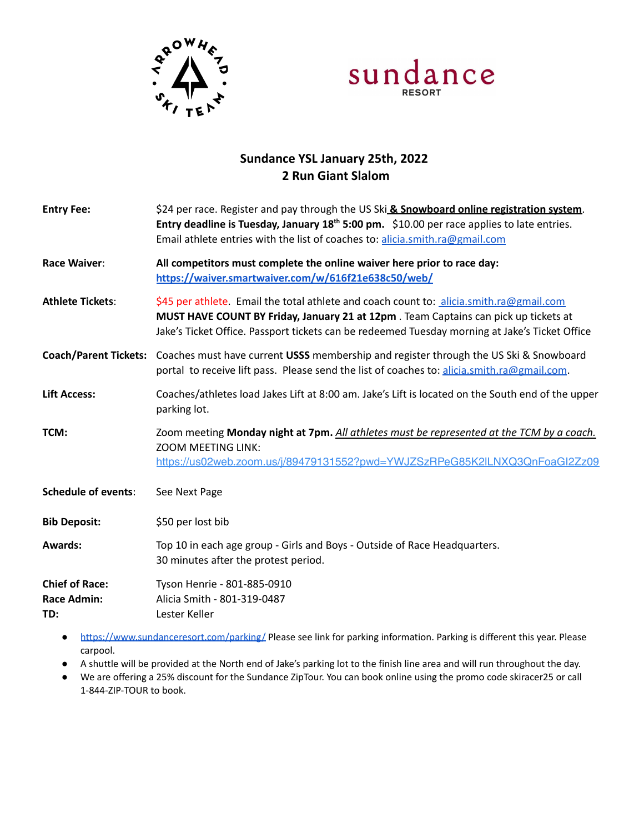



## **Sundance YSL January 25th, 2022 2 Run Giant Slalom**

| <b>Entry Fee:</b>                                  | \$24 per race. Register and pay through the US Ski & Snowboard online registration system.<br>Entry deadline is Tuesday, January $18th 5:00$ pm. $$10.00$ per race applies to late entries.<br>Email athlete entries with the list of coaches to: alicia.smith.ra@gmail.com      |
|----------------------------------------------------|----------------------------------------------------------------------------------------------------------------------------------------------------------------------------------------------------------------------------------------------------------------------------------|
| Race Waiver:                                       | All competitors must complete the online waiver here prior to race day:<br>https://waiver.smartwaiver.com/w/616f21e638c50/web/                                                                                                                                                   |
| <b>Athlete Tickets:</b>                            | \$45 per athlete. Email the total athlete and coach count to: alicia.smith.ra@gmail.com<br>MUST HAVE COUNT BY Friday, January 21 at 12pm. Team Captains can pick up tickets at<br>Jake's Ticket Office. Passport tickets can be redeemed Tuesday morning at Jake's Ticket Office |
| <b>Coach/Parent Tickets:</b>                       | Coaches must have current USSS membership and register through the US Ski & Snowboard<br>portal to receive lift pass. Please send the list of coaches to: alicia.smith.ra@gmail.com.                                                                                             |
| <b>Lift Access:</b>                                | Coaches/athletes load Jakes Lift at 8:00 am. Jake's Lift is located on the South end of the upper<br>parking lot.                                                                                                                                                                |
| TCM:                                               | Zoom meeting Monday night at 7pm. All athletes must be represented at the TCM by a coach.<br><b>ZOOM MEETING LINK:</b><br>https://us02web.zoom.us/i/89479131552?pwd=YWJZSzRPeG85K2ILNXQ3QnFoaGI2Zz09                                                                             |
| <b>Schedule of events:</b>                         | See Next Page                                                                                                                                                                                                                                                                    |
| <b>Bib Deposit:</b>                                | \$50 per lost bib                                                                                                                                                                                                                                                                |
| <b>Awards:</b>                                     | Top 10 in each age group - Girls and Boys - Outside of Race Headquarters.<br>30 minutes after the protest period.                                                                                                                                                                |
| <b>Chief of Race:</b><br><b>Race Admin:</b><br>TD: | Tyson Henrie - 801-885-0910<br>Alicia Smith - 801-319-0487<br>Lester Keller                                                                                                                                                                                                      |
|                                                    |                                                                                                                                                                                                                                                                                  |

- <https://www.sundanceresort.com/parking/> Please see link for parking information. Parking is different this year. Please carpool.
- A shuttle will be provided at the North end of Jake's parking lot to the finish line area and will run throughout the day.
- We are offering a 25% discount for the Sundance ZipTour. You can book online using the promo code skiracer25 or call 1-844-ZIP-TOUR to book.